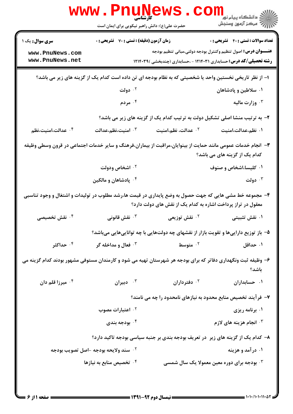| www.PnuNews                                                                                                                                                            |                                                    |                                                                                     |                                              |  |
|------------------------------------------------------------------------------------------------------------------------------------------------------------------------|----------------------------------------------------|-------------------------------------------------------------------------------------|----------------------------------------------|--|
|                                                                                                                                                                        | حضرت علی(ع): دانش راهبر نیکویی برای ایمان است      |                                                                                     |                                              |  |
| <b>سری سوال :</b> یک ۱                                                                                                                                                 | <b>زمان آزمون (دقیقه) : تستی : 70 ٪ تشریحی : 0</b> |                                                                                     | <b>تعداد سوالات : تستي : 40 - تشريحي : 0</b> |  |
| www.PnuNews.com                                                                                                                                                        |                                                    | <b>عنــــوان درس:</b> اصول تنظیم وکنترل بودجه دولتی،مبانی تنظیم بودجه               |                                              |  |
| www.PnuNews.net                                                                                                                                                        |                                                    | <b>رشته تحصیلی/کد درس:</b> حسابداری ۱۲۱۴۰۳۱ - ،حسابداری (چندبخشی )۱۲۱۴۰۳۹           |                                              |  |
| ا– از نظر تاریخی نخستین واحد یا شخصیتی که به نظام بودجه ای تن داده است کدام یک از گزینه های زیر می باشد؟                                                               |                                                    |                                                                                     |                                              |  |
|                                                                                                                                                                        | ۰۲ دولت                                            |                                                                                     | ۰۱ سلاطین و پادشاهان                         |  |
|                                                                                                                                                                        | ۰۴ مردم                                            |                                                                                     | ۰ <sup>۳</sup> وزارت مالیه                   |  |
|                                                                                                                                                                        |                                                    | ۲- به ترتیب منشا اصلی تشکیل دولت به ترتیب کدام یک از گزینه های زیر می باشد؟         |                                              |  |
| ۰۴ عدالت،امنیت،نظم                                                                                                                                                     | ۰۳ امنیت،نظم،عدالت                                 | ۰۲ عدالت، نظم،امنیت                                                                 | ۰۱ نظم،عدالت،امنیت                           |  |
| ۳– انجام خدمات عمومی مانند حمایت از بینوایان،مراقبت از بیماران،فرهنگ و سایر خدمات اجتماعی در قرون وسطی وظیفه<br>کدام یک از گزینه های می باشد؟                          |                                                    |                                                                                     |                                              |  |
|                                                                                                                                                                        | ۰۲ اشخاص ودولت                                     |                                                                                     | ۰۱ کلیسا،اشخاص و صنوف                        |  |
|                                                                                                                                                                        | ۰۴ پادشاهان و مالکین                               |                                                                                     | ۰۳ دولت                                      |  |
| ۴– مجموعه خط مشی هایی که جهت حصول به وضع پایداری در قیمت ها،رشد مطلوب در تولیدات و اشتغال و وجود تناسبی<br>معقول در تراز پرداخت اشاره به کدام یک از نقش های دولت دارد؟ |                                                    |                                                                                     |                                              |  |
| ۰ <sup>۴</sup> نقش تخصیصی                                                                                                                                              | نقش قانونى $\cdot^{\mathtt{v}}$                    | ۰ <sup>۲</sup> نقش توزیعی                                                           | ۰۱ نقش تثبیتی                                |  |
|                                                                                                                                                                        |                                                    | ۵– باز توزیع داراییها و تقویت بازار از نقشهای چه دولتهایی با چه تواناییهایی میباشد؟ |                                              |  |
| ۰۴ حداکثر                                                                                                                                                              | <b>۰۳ فعال و مداخله گر</b>                         | ۰ <sup>۲</sup> متوسط                                                                | ۰۱ حداقل                                     |  |
| ۶– وظیفه ثبت ونگهداری دفاتر که برای بودجه هر شهرستان تهیه می شود و کارمندان مستوفی مشهور بودند کدام گزینه می<br>باشد؟                                                  |                                                    |                                                                                     |                                              |  |
| ۰۴ میرزا قلم دان                                                                                                                                                       | ۰۳ دبیران $\cdot$                                  | ۰ <sup>۲</sup> دفترداران                                                            | ۰۱ حسابداران                                 |  |
|                                                                                                                                                                        |                                                    | ۷– فرآیند تخصیص منابع محدود به نیازهای نامحدود را چه می نامند؟                      |                                              |  |
|                                                                                                                                                                        | ۰ <sup>۲</sup> اعتبارات مصوب                       |                                                                                     | ۰۱ برنامه ریزی                               |  |
|                                                                                                                                                                        | بودجه بندی $\cdot$ ۴                               |                                                                                     | ۰۳ انجام هزینه های لازم                      |  |
|                                                                                                                                                                        |                                                    | ۸– کدام یک از گزینه های زیر ً در تعریف بودجه بندی بر جنبه سیاسی بودجه تاکید دارد؟   |                                              |  |
|                                                                                                                                                                        | <sup>٢ .</sup> سند ولايحه بودجه -اصل تصويب بودجه   |                                                                                     | ۰۱ درآمد و هزینه                             |  |
|                                                                                                                                                                        | ۰۴ تخصیص منابع به نیازها                           | بودجه برای دوره معین معمولا یک سال شمسی $\cdot^{\texttt{\textsf{v}}}$               |                                              |  |
|                                                                                                                                                                        |                                                    |                                                                                     |                                              |  |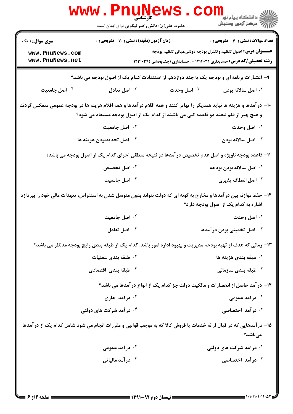|                                                                                                                                | <b>WWW.PNUN</b><br><b>کارشناسی</b><br>حضرت علی(ع): دانش راهبر نیکویی برای ایمان است                           |                                                                           | ڪ دانشڪاه پيام نور ■<br> 7- مرڪز آزمون وسنڊش |  |
|--------------------------------------------------------------------------------------------------------------------------------|---------------------------------------------------------------------------------------------------------------|---------------------------------------------------------------------------|----------------------------------------------|--|
| <b>سری سوال : ۱ یک</b><br>www.PnuNews.com                                                                                      | <b>زمان آزمون (دقیقه) : تستی : 70 قشریحی : 0</b>                                                              | <b>عنــــوان درس:</b> اصول تنظیم وکنترل بودجه دولتی،مبانی تنظیم بودجه     | <b>تعداد سوالات : تستي : 40 ٪ تشريحي : 0</b> |  |
| www.PnuNews.net                                                                                                                |                                                                                                               | <b>رشته تحصیلی/کد درس:</b> حسابداری ۱۲۱۴۰۳۱ - ،حسابداری (چندبخشی )۱۲۱۴۰۳۹ |                                              |  |
|                                                                                                                                | ۹- اعتبارات برنامه ای و بودجه یک یا چند دوازدهم از استثنانات کدام یک از اصول بودجه می باشد؟                   |                                                                           |                                              |  |
| ۰۴ اصل جامعیت                                                                                                                  | اصل تعادل $\cdot$ $^{\circ}$                                                                                  | ۰۲ اصل وحدت                                                               | ۰۱ اصل سالانه بودن                           |  |
| +ا– در آمدها و هزینه ها <u>نباید</u> همدیگر را تهاتر کنند و همه اقلام در آمدها و همه اقلام هزینه ها در بودجه عمومی منعکس گردند | و هیچ چیز از قلم نیفتد دو قاعده کلی می باشند از کدام یک از اصول بودجه مستفاد می شود؟                          |                                                                           |                                              |  |
|                                                                                                                                | ۰ <sup>۲</sup> اصل جامعیت                                                                                     |                                                                           | ۰۱ اصل وحدت                                  |  |
|                                                                                                                                | ۰۴ اصل تحديدبودن هزينه ها                                                                                     |                                                                           | اصل سالانه بودن $\cdot$ "                    |  |
| 11- قاعده بودجه ناویژه و اصل عدم تخصیص در آمدها دو نتیجه منطقی اجرای کدام یک از اصول بودجه می باشد؟                            |                                                                                                               |                                                                           |                                              |  |
|                                                                                                                                | ۰ <sup>۲</sup> اصل تخصیص                                                                                      |                                                                           | ۰۱ اصل سالانه بودن بودجه                     |  |
|                                                                                                                                | ۰۴ اصل جامعیت                                                                                                 |                                                                           | اصل انعطاف پذیری $\cdot^{\mathtt{w}}$        |  |
| ۱۲– حفظ موازنه بین در آمدها و مخارج به گونه ای که دولت بتواند بدون متوسل شدن به استقراض، تعهدات مالی خود را بپردازد            |                                                                                                               |                                                                           | اشاره به کدام یک از اصول بودجه دارد؟         |  |
|                                                                                                                                | ۰۲ اصل جامعیت                                                                                                 |                                                                           | ۰۱ اصل وحدت                                  |  |
|                                                                                                                                | اصل تعادل $\cdot$ $^{\mathsf{f}}$                                                                             |                                                                           | ا اصل تخمینی بودن در آمدها $\cdot$ "         |  |
|                                                                                                                                | ۱۳– زمانی که هدف از تهیه بودجه مدیریت و بهبود اداره امور باشد. کدام یک از طبقه بندی رایج بودجه مدنظر می باشد؟ |                                                                           |                                              |  |
|                                                                                                                                | ۰ <sup>۲</sup> طبقه بندی عملیات                                                                               |                                                                           | ۰۱ طبقه بندی هزینه ها                        |  |
|                                                                                                                                | ۰ <sup>۴</sup> طبقه بندی اقتصادی                                                                              |                                                                           | طبقه بندی سازمانی $\cdot^{\mathsf{y}}$       |  |
| ۱۴- درآمد حاصل از انحصارات و مالکیت دولت جز کدام یک از انواع درآمدها می باشد؟                                                  |                                                                                                               |                                                                           |                                              |  |
|                                                                                                                                | ۰ <sup>۲</sup> در آمد جاری                                                                                    |                                                                           | ۰۱ در آمد عمومی                              |  |
|                                                                                                                                | ۰۴ در آمد شرکت های دولتی                                                                                      |                                                                           | ۰۳ در آمد اختصاصی                            |  |
| ۱۵– درآمدهایی که در قبال ارائه خدمات یا فروش کالا که به موجب قوانین و مقررات انجام می شود شامل کدام یک از درآمدها              |                                                                                                               |                                                                           | مىباشد؟                                      |  |
|                                                                                                                                | ۰ <sup>۲</sup> در آمد عمومی                                                                                   |                                                                           | ۰۱ در آمد شرکت های دولتی                     |  |
|                                                                                                                                | ۰۴ در آمد مالیاتی                                                                                             |                                                                           | ۰ <sup>۳</sup> در آمد اختصاصی                |  |
|                                                                                                                                |                                                                                                               |                                                                           |                                              |  |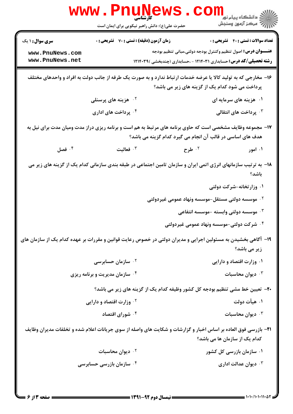| <b>WWW</b>                                                                                                                                                               | حضرت علی(ع): دانش راهبر نیکویی برای ایمان است    |                                                                                                                                                    | ڪ دانشڪاه پيا <sub>م</sub> نور<br>7- مرڪز آزمون وسنڊش |  |
|--------------------------------------------------------------------------------------------------------------------------------------------------------------------------|--------------------------------------------------|----------------------------------------------------------------------------------------------------------------------------------------------------|-------------------------------------------------------|--|
| <b>سری سوال :</b> ۱ یک<br>www.PnuNews.com<br>www.PnuNews.net                                                                                                             | <b>زمان آزمون (دقیقه) : تستی : 70 گشریحی : 0</b> | <b>عنــــوان درس:</b> اصول تنظیم وکنترل بودجه دولتی،مبانی تنظیم بودجه<br><b>رشته تحصیلی/کد درس:</b> حسابداری ۱۲۱۴۰۳۱ - ،حسابداری (چندبخشی )۱۲۱۴۰۳۹ | <b>تعداد سوالات : تستی : 40 قشریحی : 0</b>            |  |
| ۱۶- مخارجی که به تولید کالا یا عرضه خدمات ارتباط ندارد و به صورت یک طرفه از جانب دولت به افراد و واحدهای مختلف<br>پرداخت می شود کدام یک از گزینه های زیر می باشد؟        |                                                  |                                                                                                                                                    |                                                       |  |
|                                                                                                                                                                          | <sup>۲.</sup> هزینه های پرسنلی                   |                                                                                                                                                    | ۰۱ هزینه های سرمایه ای                                |  |
|                                                                                                                                                                          | ۰۴ پرداخت های اداری                              |                                                                                                                                                    | ۰ <sup>۳</sup> پرداخت های انتقالی                     |  |
| ۱۷- مجموعه وظایف مشخصی است که حاوی برنامه های مرتبط به هم است و برنامه ریزی دراز مدت ومیان مدت برای نیل به<br>هدف های اساسی در قالب آن انجام می گیرد کدام گزینه می باشد؟ |                                                  |                                                                                                                                                    |                                                       |  |
| فصل $\cdot^{\mathfrak{e}}$                                                                                                                                               | فعاليت $\cdot$                                   | ۰۲ طرح                                                                                                                                             | ۰۱ امور                                               |  |
|                                                                                                                                                                          |                                                  | ۱۸− به ترتیب سازمانهای انرژی اتمی ایران و سازمان تامین اجتماعی در طبقه بندی سازمانی کدام یک از گزینه های زیر می                                    | باشد؟                                                 |  |
|                                                                                                                                                                          |                                                  |                                                                                                                                                    | ۰۱ وزارتخانه-شرکت دولتی                               |  |
|                                                                                                                                                                          |                                                  | ۰ <sup>۲</sup> موسسه دولتی مستقل-موسسه ونهاد عمومی غیردولتی                                                                                        |                                                       |  |
|                                                                                                                                                                          |                                                  |                                                                                                                                                    | ۰۳ موسسه دولتی وابسته -موسسه انتفاعی                  |  |
|                                                                                                                                                                          |                                                  | ۰۴ شرکت دولتی-موسسه ونهاد عمومی غیردولتی                                                                                                           |                                                       |  |
| ۱۹- آگاهی بخشیدن به مسئولین اجرایی و مدیران دولتی در خصوص رعایت قوانین و مقررات بر عهده کدام یک از سازمان های                                                            |                                                  |                                                                                                                                                    | زیر می باشد؟                                          |  |
|                                                                                                                                                                          | ۰ <sup>۲</sup> سازمان حسابرسی                    |                                                                                                                                                    | ۰۱ وزارت اقتصاد و دارایی                              |  |
|                                                                                                                                                                          | ۰۴ سازمان مدیریت و برنامه ریزی                   |                                                                                                                                                    | ديوان محاسبات $\cdot^{\mathsf{v}}$                    |  |
| ۲۰- تعیین خط مشی تنظیم بودجه کل کشور وظیفه کدام یک از گزینه های زیر می باشد؟                                                                                             |                                                  |                                                                                                                                                    |                                                       |  |
|                                                                                                                                                                          | <sup>۲</sup> ۰ وزارت اقتصاد و دارایی             |                                                                                                                                                    | ۰۱ هیأت دولت                                          |  |
|                                                                                                                                                                          | ۰۴ شورای اقتصاد                                  |                                                                                                                                                    | ديوان محاسبات $\cdot^{\mathsf{v}}$                    |  |
| <b>۳۱</b> − بازرسی فوق العاده بر اساس اخبار و گزارشات و شکایت های واصله از سوی جریانات اعلام شده و تخلفات مدیران وظایف<br>کدام یک از سازمان ها می باشد؟                  |                                                  |                                                                                                                                                    |                                                       |  |
|                                                                                                                                                                          | ۰ <sup>۲</sup> دیوان محاسبات                     |                                                                                                                                                    | ۰۱ سازمان بازرسی کل کشور                              |  |
|                                                                                                                                                                          | ۰۴ سازمان بازرسی حسابرسی                         |                                                                                                                                                    | ديوان عدالت ادارى $\cdot^{\intercal}$                 |  |
| - صفحه ۱۳ ۶ =                                                                                                                                                            |                                                  | <b>ــــ نیمسال دوم ۹۲-۱۳۹۱ ـــــ</b>                                                                                                               | = 1・1・/1・1・11・۵۲                                      |  |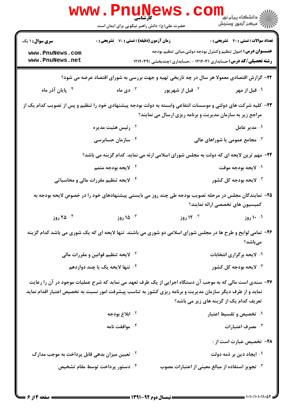|                                                                                                                                                                                                                                                                   | WWW.FII<br>کارشناسی<br>حضرت علی(ع): دانش راهبر نیکویی برای ایمان است |                                                                                                                                                                           | ڪ دانشڪاه پيام نور<br>7- مرڪز آزمون وسنڊش        |  |
|-------------------------------------------------------------------------------------------------------------------------------------------------------------------------------------------------------------------------------------------------------------------|----------------------------------------------------------------------|---------------------------------------------------------------------------------------------------------------------------------------------------------------------------|--------------------------------------------------|--|
| <b>سری سوال :</b> ۱ یک                                                                                                                                                                                                                                            | <b>زمان آزمون (دقیقه) : تستی : 70 قشریحی : 0</b>                     |                                                                                                                                                                           | <b>تعداد سوالات : تستی : 40 - تشریحی : 0</b>     |  |
| www.PnuNews.com<br>www.PnuNews.net                                                                                                                                                                                                                                |                                                                      | <b>عنــــوان درس:</b> اصول تنظیم وکنترل بودجه دولتی،مبانی تنظیم بودجه<br><b>رشته تحصیلی/کد درس:</b> حسابداری ۱۲۱۴۰۳۱ - ،حسابداری (چندبخشی )۱۲۱۴۰۳۹                        |                                                  |  |
| ۲۲- گزارش اقتصادی معمولا هر سال در چه تاریخی تهیه و جهت بررسی به شورای اقتصاد عرضه می شود؟                                                                                                                                                                        |                                                                      |                                                                                                                                                                           |                                                  |  |
| ۰۴ پایان آذر ماه                                                                                                                                                                                                                                                  | ۰۳ دی ماه $\cdot$                                                    | ۰ <sup>۲</sup> قبل از شهریور                                                                                                                                              | ۰۱ قبل از مهر                                    |  |
|                                                                                                                                                                                                                                                                   |                                                                      | ۲۳- کلیه شرکت های دولتی و موسسات انتفاعی وابسته به دولت بودجه پیشنهادی خود را تنظیم و پس از تصویب کدام یک از<br>مراجع زیر به سازمان مدیریت و برنامه ریزی ارسال می نمایند؟ |                                                  |  |
|                                                                                                                                                                                                                                                                   | ۰ <sup>۲</sup> رئیس هئیت مدیره                                       |                                                                                                                                                                           | ۰۱ مدیر عامل                                     |  |
|                                                                                                                                                                                                                                                                   | ۰۴ سازمان حسابرسی                                                    |                                                                                                                                                                           | هجامع عمومی یا شوراهای عالی $\cdot^{\textsf{v}}$ |  |
|                                                                                                                                                                                                                                                                   |                                                                      | ۲۴- مهم ترین لایحه ای که دولت به مجلس شورای اسلامی ارئه می نماید. کدام گزینه می باشد؟                                                                                     |                                                  |  |
|                                                                                                                                                                                                                                                                   | ۰ <sup>۲ .</sup> لایحه بودجه متمم                                    |                                                                                                                                                                           | ۰۱ لايحه بودجه موقت                              |  |
|                                                                                                                                                                                                                                                                   | ۰۴ لایحه تنظیم مقررات مالی و محاسباتی                                |                                                                                                                                                                           | ۰ <sup>۳ .</sup> لایحه بودجه کل کشور             |  |
|                                                                                                                                                                                                                                                                   |                                                                      | ۲۵– نمایندگان مجلس در مرحله تصویب بودجه طی چند روز می بایستی پیشنهادهای خود را در خصوص لایحه بودجه به                                                                     | كميسيون هاى تخصصى ارائه نمايند؟                  |  |
| ۰۴ (وز                                                                                                                                                                                                                                                            | ۰۳ (روز                                                              | <sup>۲.</sup> ۱۲ روز                                                                                                                                                      | ۰۱ ۱۰ روز                                        |  |
|                                                                                                                                                                                                                                                                   |                                                                      | ۲۶- تمامی لوایح و طرح ها در مجلس شورای اسلامی دو شوری می باشند. تنها لایحه ای که یک شوری می باشد کدام گزینه                                                               | مىباشد؟                                          |  |
|                                                                                                                                                                                                                                                                   | <sup>۲</sup> ۰ لایحه تنظیم قوانین و مقررات مالی                      |                                                                                                                                                                           | ۰۱ لایحه برگزاری انتخابات                        |  |
|                                                                                                                                                                                                                                                                   | ۰۴ تنها لایحه یک یا چند دوازدهم                                      |                                                                                                                                                                           | ۰ <sup>۳ .</sup> لایحه بودجه کل کشور             |  |
| ۲۷- سندی است مالی که به موجب آن دستگاه اجرایی از یک طرف تعهد می نماید که شرح عملیات موجود در آن را رعایت<br>نماید و از طرف دیگر سازمان مدیریت و برنامه ریزی کشور به تناسب پیشرفت امور نسبت به تخصیص اعتبار اقدام نماید<br>تعریف کدام یک از گزینه های زیر می باشد؟ |                                                                      |                                                                                                                                                                           |                                                  |  |
|                                                                                                                                                                                                                                                                   | ۰ <sup>۲</sup> ابلاغ بودجه                                           |                                                                                                                                                                           | ۰۱ تخصیص و تقسیط اعتبار                          |  |
|                                                                                                                                                                                                                                                                   | ۰۴ موافقت نامه                                                       |                                                                                                                                                                           | ۰۳ مصرف اعتبارات                                 |  |
|                                                                                                                                                                                                                                                                   |                                                                      |                                                                                                                                                                           | <b>۲۸</b> – تخصیص عبارت است از :                 |  |
| <sup>۲</sup> ۰ تعیین میزان بدهی قابل پرداخت به موجب مدارک                                                                                                                                                                                                         |                                                                      |                                                                                                                                                                           | ۰۱ ایجاد دین بر ذمه دولت                         |  |
|                                                                                                                                                                                                                                                                   | ۰۴ دستور پرداخت توسط مقام تشخیص                                      | ۰۳ تجویز استفاده از مبالغ معینی از اعتبارات مصوب                                                                                                                          |                                                  |  |
|                                                                                                                                                                                                                                                                   |                                                                      |                                                                                                                                                                           |                                                  |  |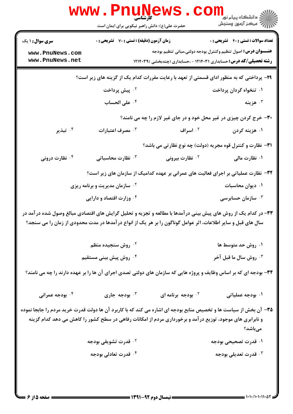|                                                                                                                                                                                                                                | <b>WWW.Pnune</b><br>حضرت علی(ع): دانش راهبر نیکویی برای ایمان است |                         | <mark>ڪ دانشڪاه پيام نور ■</mark><br>  <i>  &gt;</i> مرکز آزمون وسنڊش                                                                              |
|--------------------------------------------------------------------------------------------------------------------------------------------------------------------------------------------------------------------------------|-------------------------------------------------------------------|-------------------------|----------------------------------------------------------------------------------------------------------------------------------------------------|
| <b>سری سوال : ۱ یک</b>                                                                                                                                                                                                         | زمان آزمون (دقیقه) : تستی : 70 گشریحی : 0                         |                         | <b>تعداد سوالات : تستی : 40 قشریحی : 0</b>                                                                                                         |
| www.PnuNews.com<br>www.PnuNews.net                                                                                                                                                                                             |                                                                   |                         | <b>عنــــوان درس:</b> اصول تنظیم وکنترل بودجه دولتی،مبانی تنظیم بودجه<br><b>رشته تحصیلی/کد درس:</b> حسابداری ۱۲۱۴۰۳۱ - ،حسابداری (چندبخشی )۱۲۱۴۰۳۹ |
| ۲۹- پرداختی که به منظور ادای قسمتی از تعهد با رعایت مقررات کدام یک از گزینه های زیر است؟                                                                                                                                       |                                                                   |                         |                                                                                                                                                    |
|                                                                                                                                                                                                                                | ۰۲ پیش پرداخت                                                     |                         | ۰۱ تنخواه گردان پرداخت                                                                                                                             |
|                                                                                                                                                                                                                                | ۰۴ على الحساب                                                     |                         | وزينه $\cdot$                                                                                                                                      |
|                                                                                                                                                                                                                                |                                                                   |                         | ۳۰- خرج کردن چیزی در غیر محل خود و در جای غیر لازم را چه می نامند؟                                                                                 |
| ۰۴ تبذیر                                                                                                                                                                                                                       | مصرف اعتبارات $\cdot^{\mathsf{y}}$                                | ۰ <sup>۲</sup> اسراف    | ۰۱ هزینه کردن                                                                                                                                      |
|                                                                                                                                                                                                                                |                                                                   |                         | <b>۳۱</b> - نظارت و کنترل قوه مجریه (دولت) چه نوع نظارتی می باشد؟                                                                                  |
| ۰۴ نظارت درونی                                                                                                                                                                                                                 | نظارت محاسباتی $\cdot^{\mathtt{w}}$                               | <b>7. نظارت بیرونی</b>  | ۰۱ نظارت مالی                                                                                                                                      |
|                                                                                                                                                                                                                                |                                                                   |                         | ۳۲– نظارت عملیاتی بر اجرای فعالیت های عمرانی بر عهده کدامیک از سازمان های زیر است؟                                                                 |
|                                                                                                                                                                                                                                | <b>7 قسازمان مدیریت و برنامه ریزی</b>                             |                         | ۰۱ دیوان محاسبات                                                                                                                                   |
|                                                                                                                                                                                                                                | ۰۴ وزارت اقتصاد و دارایی                                          |                         | سازمان حسابرسی $\cdot^{\texttt{w}}$                                                                                                                |
| سال های قبل و سایر اطلاعات، اثر عوامل گوناگون را بر هر یک از انواع در آمدها در مدت محدودی از زمان را می سنجد؟                                                                                                                  |                                                                   |                         | ۳۳– در کدام یک از روش های پیش بینی در آمدها با مطالعه و تجزیه و تحلیل گرایش های اقتصادی مبالغ وصول شده در آمد در                                   |
|                                                                                                                                                                                                                                | ۰ <sup>۲</sup> روش سنجیده منظم                                    |                         | ۰۱ روش حد متوسط ها                                                                                                                                 |
|                                                                                                                                                                                                                                | ۰ <sup>۴</sup> روش پیش بینی مستقیم                                |                         | <b>4 . روش سال ما قبل آخر</b>                                                                                                                      |
| ۳۴- بودجه ای که بر اساس وظایف و پروژه هایی که سازمان های دولتی تصدی اجرای آن ها را بر عهده دارند را چه می نامند؟                                                                                                               |                                                                   |                         |                                                                                                                                                    |
| ۰۴ بودجه عمرانی                                                                                                                                                                                                                | بودجه جاری $\cdot^{\mathsf{r}}$                                   | بودجه برنامه ای $\cdot$ | ۰۱ بودجه عملیاتی                                                                                                                                   |
| ۳۵- آن بخش از سیاست ها و تخصیص منابع بودجه ای اشاره می کند که با کاربرد آن ها دولت قدرت خرید مردم را جابجا نموده<br>و نابرابری های موجود، توزیع در آمد و برخورداری مردم از امکانات رفاهی در سطح کشور را کاهش می دهد کدام گزینه |                                                                   |                         | مىباشد؟                                                                                                                                            |
|                                                                                                                                                                                                                                | <sup>۲ .</sup> قدرت تشویقی بودجه                                  |                         | ۰۱ قدرت تصحیحی بودجه                                                                                                                               |
|                                                                                                                                                                                                                                | ۰ <sup>۴</sup> قدرت تعادل <sub>ی</sub> بودجه                      |                         | ۰ <sup>۳</sup> قدرت تعدیلی بودجه                                                                                                                   |
|                                                                                                                                                                                                                                |                                                                   |                         |                                                                                                                                                    |